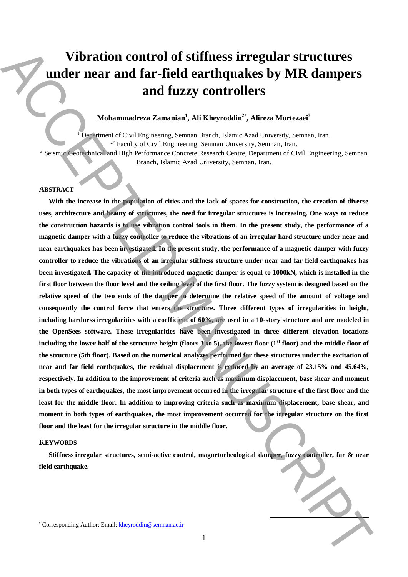# **Vibration control of stiffness irregular structures under near and far-field earthquakes by MR dampers and fuzzy controllers**

# **Mohammadreza Zamanian<sup>1</sup> , Ali Kheyroddin<sup>2</sup>**\* **, Alireza Mortezaei<sup>3</sup>**

<sup>1</sup> Department of Civil Engineering, Semnan Branch, Islamic Azad University, Semnan, Iran. 2\* Faculty of Civil Engineering, Semnan University, Semnan, Iran.

<sup>3</sup> Seismic Geotechnical and High Performance Concrete Research Centre, Department of Civil Engineering, Semnan Branch, Islamic Azad University, Semnan, Iran.

## **ABSTRACT**

With the increase in the population of cities and the lack of spaces for construction, the creation of diverse **uses, architecture and beauty of structures, the need for irregular structures is increasing. One ways to reduce the construction hazards is to use vibration control tools in them. In the present study, the performance of a magnetic damper with a fuzzy controller to reduce the vibrations of an irregular hard structure under near and near earthquakes has been investigated. In the present study, the performance of a magnetic damper with fuzzy controller to reduce the vibrations of an irregular stiffness structure under near and far field earthquakes has been investigated. The capacity of the introduced magnetic damper is equal to 1000kN, which is installed in the first floor between the floor level and the ceiling level of the first floor. The fuzzy system is designed based on the relative speed of the two ends of the damper to determine the relative speed of the amount of voltage and consequently the control force that enters the structure. Three different types of irregularities in height, including hardness irregularities with a coefficient of 60%, are used in a 10-story structure and are modeled in the OpenSees software. These irregularities have been investigated in three different elevation locations**  including the lower half of the structure height (floors  $\hat{\bf l}$  to 5), the lowest floor (1<sup>st</sup> floor) and the middle floor of **the structure (5th floor). Based on the numerical analyzes performed for these structures under the excitation of near and far field earthquakes, the residual displacement is reduced by an average of 23.15% and 45.64%, respectively. In addition to the improvement of criteria such as maximum displacement, base shear and moment**  in both types of earthquakes, the most improvement occurred in the irregular structure of the first floor and the **least for the middle floor. In addition to improving criteria such as maximum displacement, base shear, and moment in both types of earthquakes, the most improvement occurred for the irregular structure on the first floor and the least for the irregular structure in the middle floor.** Vibration control of stiffness irregular structures<br>
voluments and far-field earthquakes by MR dampers<br>
voluments are an equivalently similar to the corresponding and the state of the corresponding and the corresponding a

#### **KEYWORDS**

**Stiffness irregular structures, semi-active control, magnetorheological damper, fuzzy controller, far & near field earthquake.**

**.**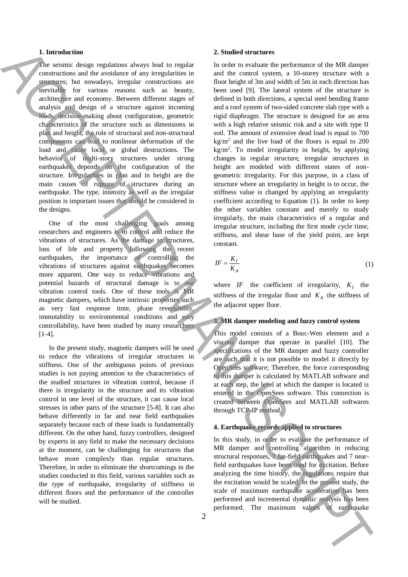### **1. Introduction**

The seismic design regulations always lead to regular constructions and the avoidance of any irregularities in structures; but nowadays, irregular constructions are inevitable for various reasons such as beauty, architecture and economy. Between different stages of analysis and design of a structure against incoming loads, decision-making about configuration, geometric characteristics of the structure such as dimensions in plan and height, the role of structural and non-structural components can lead to nonlinear deformation of the load and cause local or global destructions. The behavior of multi-story structures under strong earthquakes depends on the configuration of the structure. Irregularities in plan and in height are the main causes of rupture of structures during an earthquake. The type, intensity as well as the irregular position is important issues that should be considered in the designs.

One of the most challenging goals among researchers and engineers is to control and reduce the vibrations of structures. As the damage to structures, loss of life and property following the recent earthquakes, the importance of controlling the vibrations of structures against earthquakes becomes more apparent. One way to reduce vibrations and potential hazards of structural damage is to use vibration control tools. One of these tools is MR magnetic dampers, which have intrinsic properties such as very fast response time, phase reversibility, immutability to environmental conditions and easy controllability, have been studied by many researchers [1-4].

In the present study, magnetic dampers will be used to reduce the vibrations of irregular structures in stiffness. One of the ambiguous points of previous studies is not paying attention to the characteristics of the studied structures in vibration control, because if there is irregularity in the structure and its vibration control in one level of the structure, it can cause local stresses in other parts of the structure [5-8]. It can also behave differently in far and near field earthquakes separately because each of these loads is fundamentally different. On the other hand, fuzzy controllers, designed by experts in any field to make the necessary decisions at the moment, can be challenging for structures that behave more complexly than regular structures. Therefore, in order to eliminate the shortcomings in the studies conducted in this field, various variables such as the type of earthquake, irregularity of stiffness in different floors and the performance of the controller will be studied.

#### **2. Studied structures**

In order to evaluate the performance of the MR damper and the control system, a 10-storey structure with a floor height of 3m and width of 5m in each direction has been used [9]. The lateral system of the structure is defined in both directions, a special steel bending frame and a roof system of two-sided concrete slab type with a rigid diaphragm. The structure is designed for an area with a high relative seismic risk and a site with type II soil. The amount of extensive dead load is equal to 700  $kg/m<sup>2</sup>$  and the live load of the floors is equal to 200 kg/m<sup>2</sup> . To model irregularity in height, by applying changes in regular structure, irregular structures in height are modeled with different states of nongeometric irregularity. For this purpose, in a class of structure where an irregularity in height is to occur, the stiffness value is changed by applying an irregularity coefficient according to Equation (1). In order to keep the other variables constant and merely to study irregularly, the main characteristics of a regular and irregular structure, including the first mode cycle time, stiffness, and shear base of the yield point, are kept constant. **1** Interded to earth of the second of the second of the second of the second of the second of the second of the second of the second of the second of the second of the second of the second of the second of the second of

$$
IF = \frac{K_I}{K_A} \tag{1}
$$

where *IF* the coefficient of irregularity,  $K_I$  the stiffness of the irregular floor and  $K_A$  the stiffness of the adjacent upper floor.

#### **3. MR damper modeling and fuzzy control system**

This model consists of a Bouc-Wen element and a viscous damper that operate in parallel [10]. The specifications of the MR damper and fuzzy controller are such that it is not possible to model it directly by OpenSees software; Therefore, the force corresponding to this damper is calculated by MATLAB software and at each step, the level at which the damper is located is entered in the OpenSees software. This connection is created between OpenSees and MATLAB softwares through TCP-IP method.

#### **4. Earthquake records applied to structures**

In this study, in order to evaluate the performance of MR damper and controlling algorithm in reducing structural responses, 7 far-field earthquakes and 7 nearfield earthquakes have been used for excitation. Before analyzing the time history, the regulations require that the excitation would be scaled. In the present study, the scale of maximum earthquake acceleration has been performed and incremental dynamic analysis has been